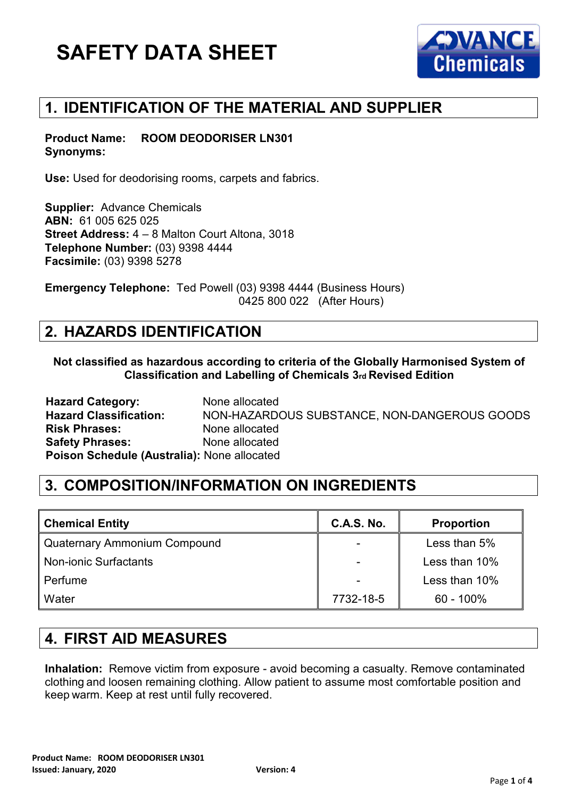

## **1. IDENTIFICATION OF THE MATERIAL AND SUPPLIER**

**Product Name: ROOM DEODORISER LN301 Synonyms:** 

**Use:** Used for deodorising rooms, carpets and fabrics.

**Supplier:** Advance Chemicals **ABN:** 61 005 625 025 **Street Address:** 4 – 8 Malton Court Altona, 3018 **Telephone Number:** (03) 9398 4444 **Facsimile:** (03) 9398 5278

**Emergency Telephone:** Ted Powell (03) 9398 4444 (Business Hours) 0425 800 022 (After Hours)

### **2. HAZARDS IDENTIFICATION**

**Not classified as hazardous according to criteria of the Globally Harmonised System of Classification and Labelling of Chemicals 3rd Revised Edition**

**Hazard Category:** None allocated **Hazard Classification:** NON-HAZARDOUS SUBSTANCE, NON-DANGEROUS GOODS **Risk Phrases:** None allocated **Safety Phrases:** None allocated **Poison Schedule (Australia):** None allocated

## **3. COMPOSITION/INFORMATION ON INGREDIENTS**

| <b>Chemical Entity</b>       | <b>C.A.S. No.</b> | <b>Proportion</b> |
|------------------------------|-------------------|-------------------|
| Quaternary Ammonium Compound |                   | Less than 5%      |
| <b>Non-ionic Surfactants</b> |                   | Less than 10%     |
| Perfume                      |                   | Less than 10%     |
| Water                        | 7732-18-5         | $60 - 100\%$      |

#### **4. FIRST AID MEASURES**

**Inhalation:** Remove victim from exposure - avoid becoming a casualty. Remove contaminated clothing and loosen remaining clothing. Allow patient to assume most comfortable position and keep warm. Keep at rest until fully recovered.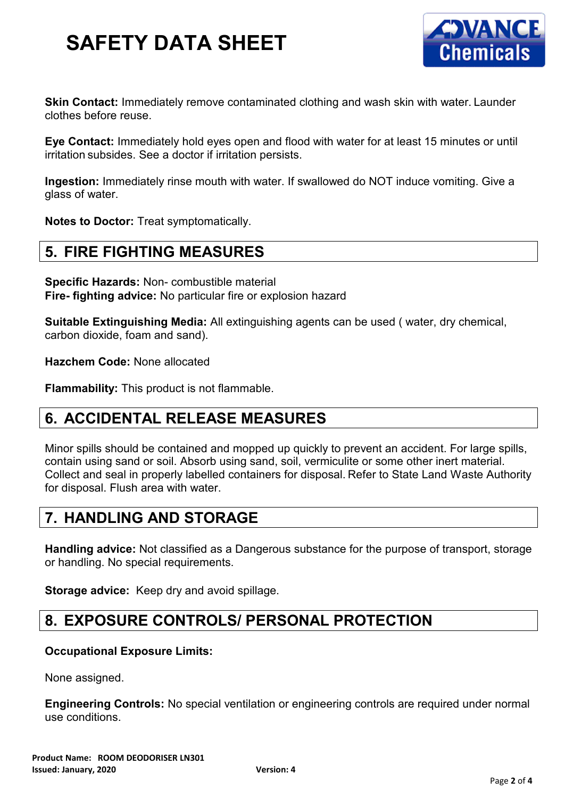

**Skin Contact:** Immediately remove contaminated clothing and wash skin with water. Launder clothes before reuse.

**Eye Contact:** Immediately hold eyes open and flood with water for at least 15 minutes or until irritation subsides. See a doctor if irritation persists.

**Ingestion:** Immediately rinse mouth with water. If swallowed do NOT induce vomiting. Give a glass of water.

**Notes to Doctor:** Treat symptomatically.

### **5. FIRE FIGHTING MEASURES**

**Specific Hazards:** Non- combustible material **Fire- fighting advice:** No particular fire or explosion hazard

**Suitable Extinguishing Media:** All extinguishing agents can be used ( water, dry chemical, carbon dioxide, foam and sand).

**Hazchem Code:** None allocated

**Flammability:** This product is not flammable.

#### **6. ACCIDENTAL RELEASE MEASURES**

Minor spills should be contained and mopped up quickly to prevent an accident. For large spills, contain using sand or soil. Absorb using sand, soil, vermiculite or some other inert material. Collect and seal in properly labelled containers for disposal. Refer to State Land Waste Authority for disposal. Flush area with water.

#### **7. HANDLING AND STORAGE**

**Handling advice:** Not classified as a Dangerous substance for the purpose of transport, storage or handling. No special requirements.

**Storage advice:** Keep dry and avoid spillage.

#### **8. EXPOSURE CONTROLS/ PERSONAL PROTECTION**

#### **Occupational Exposure Limits:**

None assigned.

**Engineering Controls:** No special ventilation or engineering controls are required under normal use conditions.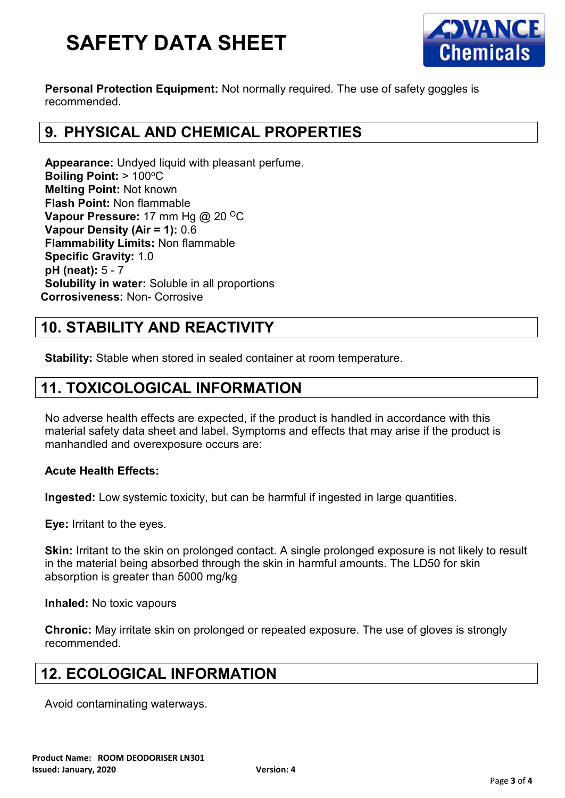

**Personal Protection Equipment:** Not normally required. The use of safety goggles is recommended.

# **9. PHYSICAL AND CHEMICAL PROPERTIES**

**Appearance:** Undyed liquid with pleasant perfume. **Boiling Point: > 100°C Melting Point:** Not known **Flash Point:** Non flammable **Vapour Pressure: 17 mm Hg @ 20 °C Vapour Density (Air = 1):** 0.6 **Flammability Limits:** Non flammable **Specific Gravity:** 1.0 **pH (neat):** 5 - 7 **Solubility in water:** Soluble in all proportions **Corrosiveness:** Non- Corrosive

## **10. STABILITY AND REACTIVITY**

**Stability:** Stable when stored in sealed container at room temperature.

### **11. TOXICOLOGICAL INFORMATION**

No adverse health effects are expected, if the product is handled in accordance with this material safety data sheet and label. Symptoms and effects that may arise if the product is manhandled and overexposure occurs are:

#### **Acute Health Effects:**

**Ingested:** Low systemic toxicity, but can be harmful if ingested in large quantities.

**Eye:** Irritant to the eyes.

**Skin:** Irritant to the skin on prolonged contact. A single prolonged exposure is not likely to result in the material being absorbed through the skin in harmful amounts. The LD50 for skin absorption is greater than 5000 mg/kg

**Inhaled:** No toxic vapours

**Chronic:** May irritate skin on prolonged or repeated exposure. The use of gloves is strongly recommended.

# **12. ECOLOGICAL INFORMATION**

Avoid contaminating waterways.